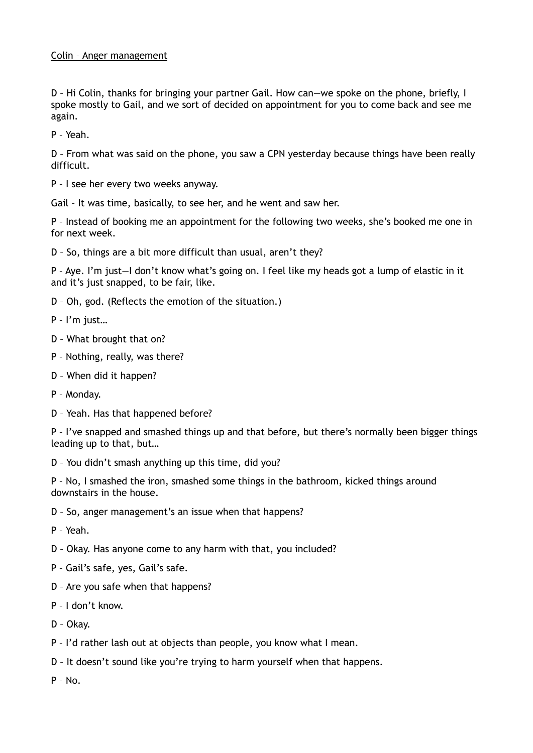## Colin – Anger management

D – Hi Colin, thanks for bringing your partner Gail. How can—we spoke on the phone, briefly, I spoke mostly to Gail, and we sort of decided on appointment for you to come back and see me again.

P – Yeah.

D – From what was said on the phone, you saw a CPN yesterday because things have been really difficult.

P – I see her every two weeks anyway.

Gail – It was time, basically, to see her, and he went and saw her.

P – Instead of booking me an appointment for the following two weeks, she's booked me one in for next week.

D – So, things are a bit more difficult than usual, aren't they?

P – Aye. I'm just—I don't know what's going on. I feel like my heads got a lump of elastic in it and it's just snapped, to be fair, like.

- D Oh, god. (Reflects the emotion of the situation.)
- P I'm just…
- D What brought that on?
- P Nothing, really, was there?
- D When did it happen?
- P Monday.
- D Yeah. Has that happened before?

P – I've snapped and smashed things up and that before, but there's normally been bigger things leading up to that, but…

D – You didn't smash anything up this time, did you?

P – No, I smashed the iron, smashed some things in the bathroom, kicked things around downstairs in the house.

D – So, anger management's an issue when that happens?

P – Yeah.

- D Okay. Has anyone come to any harm with that, you included?
- P Gail's safe, yes, Gail's safe.
- D Are you safe when that happens?
- P I don't know.

D – Okay.

- P I'd rather lash out at objects than people, you know what I mean.
- D It doesn't sound like you're trying to harm yourself when that happens.

 $P - No.$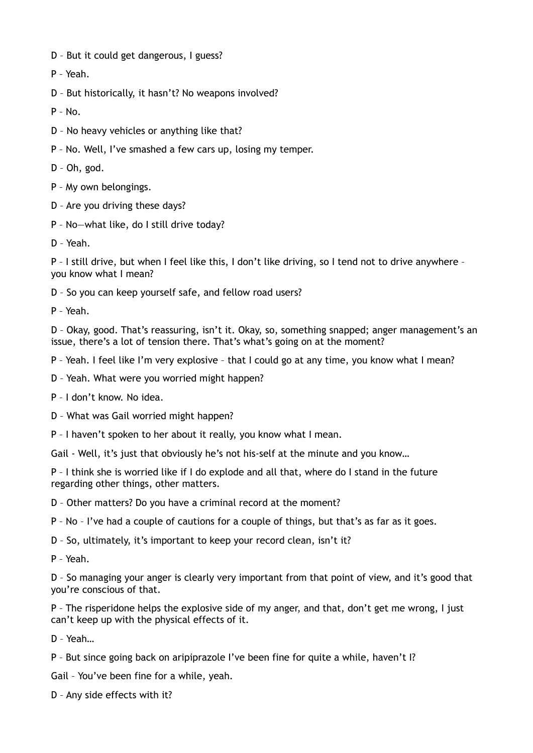- D But it could get dangerous, I guess?
- P Yeah.
- D But historically, it hasn't? No weapons involved?
- P No.
- D No heavy vehicles or anything like that?
- P No. Well, I've smashed a few cars up, losing my temper.
- D Oh, god.
- P My own belongings.
- D Are you driving these days?
- P No—what like, do I still drive today?
- D Yeah.

P – I still drive, but when I feel like this, I don't like driving, so I tend not to drive anywhere – you know what I mean?

- D So you can keep yourself safe, and fellow road users?
- P Yeah.

D – Okay, good. That's reassuring, isn't it. Okay, so, something snapped; anger management's an issue, there's a lot of tension there. That's what's going on at the moment?

- P Yeah. I feel like I'm very explosive that I could go at any time, you know what I mean?
- D Yeah. What were you worried might happen?
- P I don't know. No idea.
- D What was Gail worried might happen?
- P I haven't spoken to her about it really, you know what I mean.

Gail - Well, it's just that obviously he's not his-self at the minute and you know…

P – I think she is worried like if I do explode and all that, where do I stand in the future regarding other things, other matters.

- D Other matters? Do you have a criminal record at the moment?
- P No I've had a couple of cautions for a couple of things, but that's as far as it goes.
- D So, ultimately, it's important to keep your record clean, isn't it?
- P Yeah.

D – So managing your anger is clearly very important from that point of view, and it's good that you're conscious of that.

P – The risperidone helps the explosive side of my anger, and that, don't get me wrong, I just can't keep up with the physical effects of it.

D – Yeah…

P – But since going back on aripiprazole I've been fine for quite a while, haven't I?

Gail – You've been fine for a while, yeah.

D – Any side effects with it?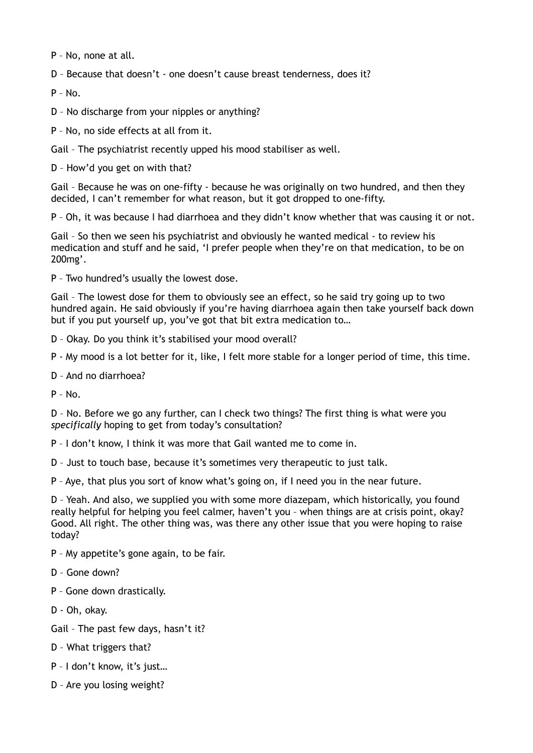P – No, none at all.

D – Because that doesn't - one doesn't cause breast tenderness, does it?

 $P - No.$ 

D – No discharge from your nipples or anything?

P – No, no side effects at all from it.

Gail – The psychiatrist recently upped his mood stabiliser as well.

D – How'd you get on with that?

Gail – Because he was on one-fifty - because he was originally on two hundred, and then they decided, I can't remember for what reason, but it got dropped to one-fifty.

P – Oh, it was because I had diarrhoea and they didn't know whether that was causing it or not.

Gail – So then we seen his psychiatrist and obviously he wanted medical - to review his medication and stuff and he said, 'I prefer people when they're on that medication, to be on 200mg'.

P – Two hundred's usually the lowest dose.

Gail – The lowest dose for them to obviously see an effect, so he said try going up to two hundred again. He said obviously if you're having diarrhoea again then take yourself back down but if you put yourself up, you've got that bit extra medication to…

D – Okay. Do you think it's stabilised your mood overall?

P - My mood is a lot better for it, like, I felt more stable for a longer period of time, this time.

D – And no diarrhoea?

 $P - N_0$ 

D – No. Before we go any further, can I check two things? The first thing is what were you *specifically* hoping to get from today's consultation?

P – I don't know, I think it was more that Gail wanted me to come in.

D – Just to touch base, because it's sometimes very therapeutic to just talk.

P – Aye, that plus you sort of know what's going on, if I need you in the near future.

D – Yeah. And also, we supplied you with some more diazepam, which historically, you found really helpful for helping you feel calmer, haven't you – when things are at crisis point, okay? Good. All right. The other thing was, was there any other issue that you were hoping to raise today?

P – My appetite's gone again, to be fair.

D – Gone down?

- P Gone down drastically.
- D Oh, okay.

Gail – The past few days, hasn't it?

- D What triggers that?
- P I don't know, it's just…
- D Are you losing weight?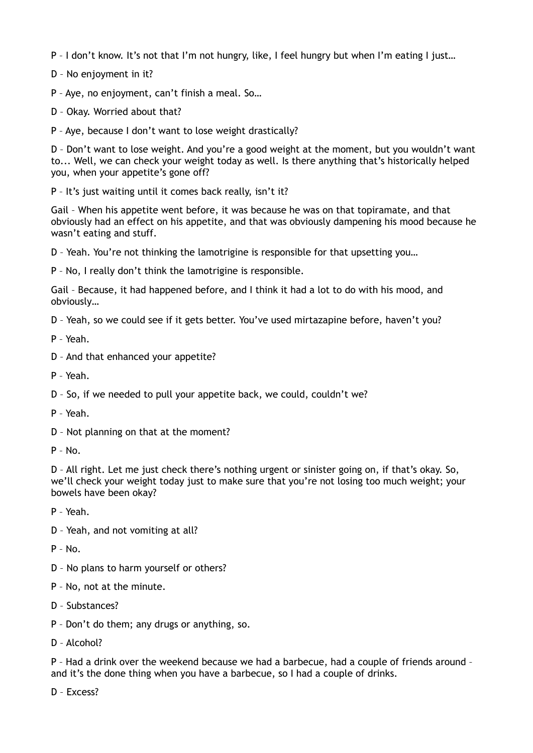P – I don't know. It's not that I'm not hungry, like, I feel hungry but when I'm eating I just…

D – No enjoyment in it?

P – Aye, no enjoyment, can't finish a meal. So…

D – Okay. Worried about that?

P – Aye, because I don't want to lose weight drastically?

D – Don't want to lose weight. And you're a good weight at the moment, but you wouldn't want to... Well, we can check your weight today as well. Is there anything that's historically helped you, when your appetite's gone off?

P – It's just waiting until it comes back really, isn't it?

Gail – When his appetite went before, it was because he was on that topiramate, and that obviously had an effect on his appetite, and that was obviously dampening his mood because he wasn't eating and stuff.

D – Yeah. You're not thinking the lamotrigine is responsible for that upsetting you…

P – No, I really don't think the lamotrigine is responsible.

Gail – Because, it had happened before, and I think it had a lot to do with his mood, and obviously…

D – Yeah, so we could see if it gets better. You've used mirtazapine before, haven't you?

P – Yeah.

- D And that enhanced your appetite?
- P Yeah.

D – So, if we needed to pull your appetite back, we could, couldn't we?

P – Yeah.

D – Not planning on that at the moment?

 $P - No.$ 

D – All right. Let me just check there's nothing urgent or sinister going on, if that's okay. So, we'll check your weight today just to make sure that you're not losing too much weight; your bowels have been okay?

P – Yeah.

D – Yeah, and not vomiting at all?

P – No.

- D No plans to harm yourself or others?
- P No, not at the minute.
- D Substances?
- P Don't do them; any drugs or anything, so.
- D Alcohol?

P – Had a drink over the weekend because we had a barbecue, had a couple of friends around – and it's the done thing when you have a barbecue, so I had a couple of drinks.

D – Excess?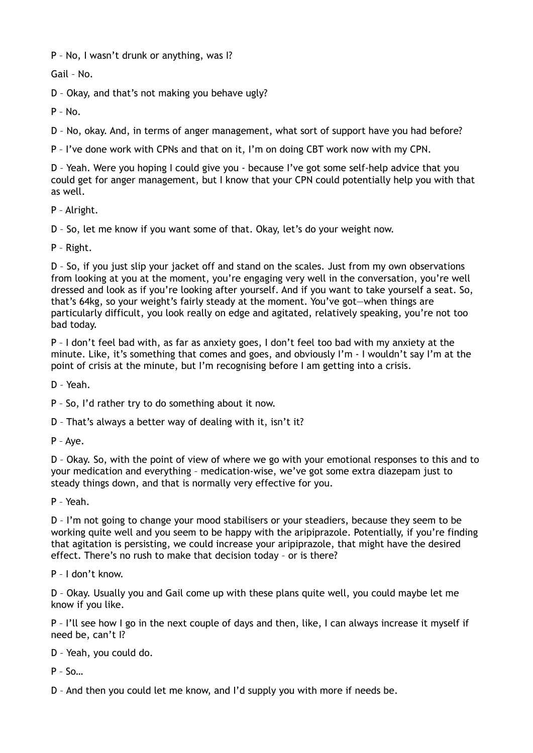P – No, I wasn't drunk or anything, was I?

Gail – No.

D – Okay, and that's not making you behave ugly?

P – No.

D – No, okay. And, in terms of anger management, what sort of support have you had before?

P – I've done work with CPNs and that on it, I'm on doing CBT work now with my CPN.

D – Yeah. Were you hoping I could give you - because I've got some self-help advice that you could get for anger management, but I know that your CPN could potentially help you with that as well.

P – Alright.

D – So, let me know if you want some of that. Okay, let's do your weight now.

P – Right.

D – So, if you just slip your jacket off and stand on the scales. Just from my own observations from looking at you at the moment, you're engaging very well in the conversation, you're well dressed and look as if you're looking after yourself. And if you want to take yourself a seat. So, that's 64kg, so your weight's fairly steady at the moment. You've got—when things are particularly difficult, you look really on edge and agitated, relatively speaking, you're not too bad today.

P – I don't feel bad with, as far as anxiety goes, I don't feel too bad with my anxiety at the minute. Like, it's something that comes and goes, and obviously I'm - I wouldn't say I'm at the point of crisis at the minute, but I'm recognising before I am getting into a crisis.

D – Yeah.

P – So, I'd rather try to do something about it now.

D – That's always a better way of dealing with it, isn't it?

P – Aye.

D – Okay. So, with the point of view of where we go with your emotional responses to this and to your medication and everything – medication-wise, we've got some extra diazepam just to steady things down, and that is normally very effective for you.

P – Yeah.

D – I'm not going to change your mood stabilisers or your steadiers, because they seem to be working quite well and you seem to be happy with the aripiprazole. Potentially, if you're finding that agitation is persisting, we could increase your aripiprazole, that might have the desired effect. There's no rush to make that decision today – or is there?

P – I don't know.

D – Okay. Usually you and Gail come up with these plans quite well, you could maybe let me know if you like.

P – I'll see how I go in the next couple of days and then, like, I can always increase it myself if need be, can't I?

D – Yeah, you could do.

 $P - S$ 

D – And then you could let me know, and I'd supply you with more if needs be.